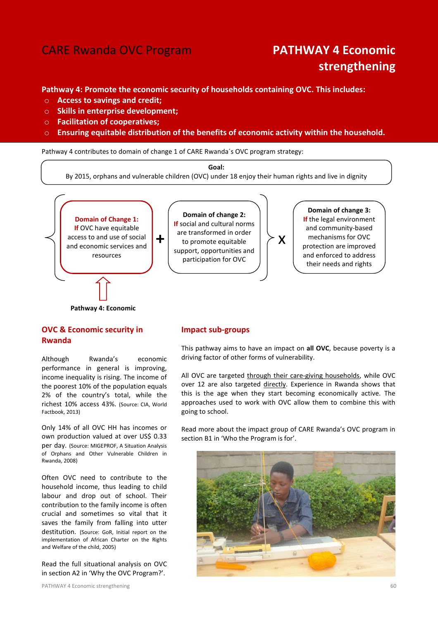# CARE Rwanda OVC Program **PATHWAY 4 Economic**

# strengthening

Pathway 4: Promote the economic security of households containing OVC. This includes:

- o Access to savings and credit;
- $\circ$  Skills in enterprise development:
- o Facilitation of cooperatives;
- o Ensuring equitable distribution of the benefits of economic activity within the household.

Pathway 4 contributes to domain of change 1 of CARE Rwanda´s OVC program strategy:

Goal: By 2015, orphans and vulnerable children (OVC) under 18 enjoy their human rights and live in dignity



Pathway 4: Economic

# OVC & Economic security in Rwanda

Although Rwanda's economic performance in general is improving, income inequality is rising. The income of the poorest 10% of the population equals 2% of the country's total, while the richest 10% access 43%. (Source: CIA, World Factbook, 2013)

Only 14% of all OVC HH has incomes or own production valued at over US\$ 0.33 per day. (Source: MIGEPROF, A Situation Analysis of Orphans and Other Vulnerable Children in Rwanda, 2008)

Often OVC need to contribute to the household income, thus leading to child labour and drop out of school. Their contribution to the family income is often crucial and sometimes so vital that it saves the family from falling into utter destitution. (Source: GoR, Initial report on the implementation of African Charter on the Rights and Welfare of the child, 2005)

Read the full situational analysis on OVC in section A2 in 'Why the OVC Program?'.

# Impact sub-groups

This pathway aims to have an impact on all OVC, because poverty is a driving factor of other forms of vulnerability.

All OVC are targeted through their care-giving households, while OVC over 12 are also targeted directly. Experience in Rwanda shows that this is the age when they start becoming economically active. The approaches used to work with OVC allow them to combine this with going to school.

Read more about the impact group of CARE Rwanda's OVC program in section B1 in 'Who the Program is for'.

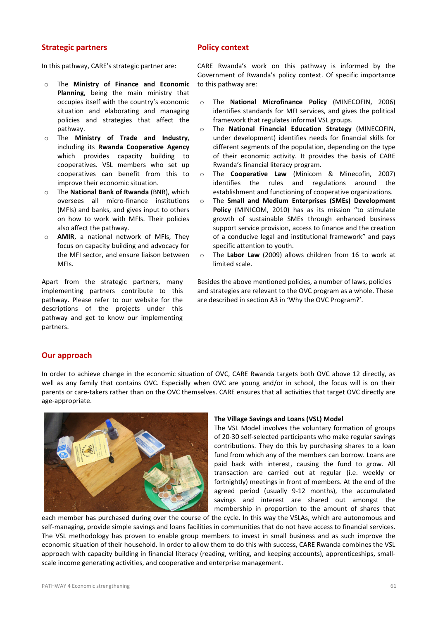# Strategic partners

# Policy context

In this pathway, CARE's strategic partner are:

- o The Ministry of Finance and Economic Planning, being the main ministry that occupies itself with the country's economic situation and elaborating and managing policies and strategies that affect the pathway.
- o The Ministry of Trade and Industry, including its Rwanda Cooperative Agency which provides capacity building to cooperatives. VSL members who set up cooperatives can benefit from this to improve their economic situation.
- o The National Bank of Rwanda (BNR), which oversees all micro-finance institutions (MFIs) and banks, and gives input to others on how to work with MFIs. Their policies also affect the pathway.
- o AMIR, a national network of MFIs, They focus on capacity building and advocacy for the MFI sector, and ensure liaison between MFIs.

Apart from the strategic partners, many implementing partners contribute to this pathway. Please refer to our website for the descriptions of the projects under this pathway and get to know our implementing partners.

CARE Rwanda's work on this pathway is informed by the Government of Rwanda's policy context. Of specific importance to this pathway are:

- o The National Microfinance Policy (MINECOFIN, 2006) identifies standards for MFI services, and gives the political framework that regulates informal VSL groups.
- o The National Financial Education Strategy (MINECOFIN, under development) identifies needs for financial skills for different segments of the population, depending on the type of their economic activity. It provides the basis of CARE Rwanda's financial literacy program.
- o The Cooperative Law (Minicom & Minecofin, 2007) identifies the rules and regulations around the establishment and functioning of cooperative organizations.
- o The Small and Medium Enterprises (SMEs) Development Policy (MINICOM, 2010) has as its mission "to stimulate growth of sustainable SMEs through enhanced business support service provision, access to finance and the creation of a conducive legal and institutional framework" and pays specific attention to youth.
- o The Labor Law (2009) allows children from 16 to work at limited scale.

Besides the above mentioned policies, a number of laws, policies and strategies are relevant to the OVC program as a whole. These are described in section A3 in 'Why the OVC Program?'.

# Our approach

In order to achieve change in the economic situation of OVC, CARE Rwanda targets both OVC above 12 directly, as well as any family that contains OVC. Especially when OVC are young and/or in school, the focus will is on their parents or care-takers rather than on the OVC themselves. CARE ensures that all activities that target OVC directly are age-appropriate.



#### The Village Savings and Loans (VSL) Model

The VSL Model involves the voluntary formation of groups of 20-30 self-selected participants who make regular savings contributions. They do this by purchasing shares to a loan fund from which any of the members can borrow. Loans are paid back with interest, causing the fund to grow. All transaction are carried out at regular (i.e. weekly or fortnightly) meetings in front of members. At the end of the agreed period (usually 9-12 months), the accumulated savings and interest are shared out amongst the membership in proportion to the amount of shares that

each member has purchased during over the course of the cycle. In this way the VSLAs, which are autonomous and self-managing, provide simple savings and loans facilities in communities that do not have access to financial services. The VSL methodology has proven to enable group members to invest in small business and as such improve the economic situation of their household. In order to allow them to do this with success, CARE Rwanda combines the VSL approach with capacity building in financial literacy (reading, writing, and keeping accounts), apprenticeships, smallscale income generating activities, and cooperative and enterprise management.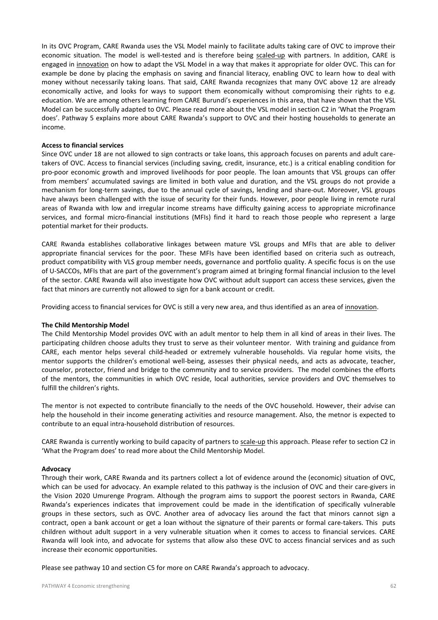In its OVC Program, CARE Rwanda uses the VSL Model mainly to facilitate adults taking care of OVC to improve their economic situation. The model is well-tested and is therefore being scaled-up with partners. In addition, CARE is engaged in innovation on how to adapt the VSL Model in a way that makes it appropriate for older OVC. This can for example be done by placing the emphasis on saving and financial literacy, enabling OVC to learn how to deal with money without necessarily taking loans. That said, CARE Rwanda recognizes that many OVC above 12 are already economically active, and looks for ways to support them economically without compromising their rights to e.g. education. We are among others learning from CARE Burundi's experiences in this area, that have shown that the VSL Model can be successfully adapted to OVC. Please read more about the VSL model in section C2 in 'What the Program does'. Pathway 5 explains more about CARE Rwanda's support to OVC and their hosting households to generate an income.

#### Access to financial services

Since OVC under 18 are not allowed to sign contracts or take loans, this approach focuses on parents and adult caretakers of OVC. Access to financial services (including saving, credit, insurance, etc.) is a critical enabling condition for pro-poor economic growth and improved livelihoods for poor people. The loan amounts that VSL groups can offer from members' accumulated savings are limited in both value and duration, and the VSL groups do not provide a mechanism for long-term savings, due to the annual cycle of savings, lending and share-out. Moreover, VSL groups have always been challenged with the issue of security for their funds. However, poor people living in remote rural areas of Rwanda with low and irregular income streams have difficulty gaining access to appropriate microfinance services, and formal micro-financial institutions (MFIs) find it hard to reach those people who represent a large potential market for their products.

CARE Rwanda establishes collaborative linkages between mature VSL groups and MFIs that are able to deliver appropriate financial services for the poor. These MFIs have been identified based on criteria such as outreach, product compatibility with VLS group member needs, governance and portfolio quality. A specific focus is on the use of U-SACCOs, MFIs that are part of the government's program aimed at bringing formal financial inclusion to the level of the sector. CARE Rwanda will also investigate how OVC without adult support can access these services, given the fact that minors are currently not allowed to sign for a bank account or credit.

Providing access to financial services for OVC is still a very new area, and thus identified as an area of innovation.

#### The Child Mentorship Model

The Child Mentorship Model provides OVC with an adult mentor to help them in all kind of areas in their lives. The participating children choose adults they trust to serve as their volunteer mentor. With training and guidance from CARE, each mentor helps several child-headed or extremely vulnerable households. Via regular home visits, the mentor supports the children's emotional well-being, assesses their physical needs, and acts as advocate, teacher, counselor, protector, friend and bridge to the community and to service providers. The model combines the efforts of the mentors, the communities in which OVC reside, local authorities, service providers and OVC themselves to fulfill the children's rights.

The mentor is not expected to contribute financially to the needs of the OVC household. However, their advise can help the household in their income generating activities and resource management. Also, the metnor is expected to contribute to an equal intra-household distribution of resources.

CARE Rwanda is currently working to build capacity of partners to scale-up this approach. Please refer to section C2 in 'What the Program does' to read more about the Child Mentorship Model.

#### Advocacy

Through their work, CARE Rwanda and its partners collect a lot of evidence around the (economic) situation of OVC, which can be used for advocacy. An example related to this pathway is the inclusion of OVC and their care-givers in the Vision 2020 Umurenge Program. Although the program aims to support the poorest sectors in Rwanda, CARE Rwanda's experiences indicates that improvement could be made in the identification of specifically vulnerable groups in these sectors, such as OVC. Another area of advocacy lies around the fact that minors cannot sign a contract, open a bank account or get a loan without the signature of their parents or formal care-takers. This puts children without adult support in a very vulnerable situation when it comes to access to financial services. CARE Rwanda will look into, and advocate for systems that allow also these OVC to access financial services and as such increase their economic opportunities.

Please see pathway 10 and section C5 for more on CARE Rwanda's approach to advocacy.